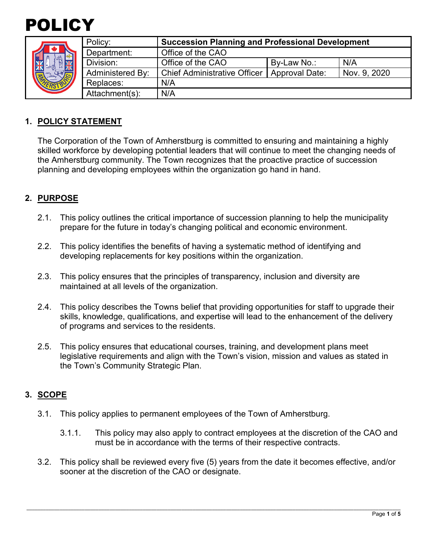

|  | Policy:          | <b>Succession Planning and Professional Development</b> |                |              |
|--|------------------|---------------------------------------------------------|----------------|--------------|
|  | Department:      | Office of the CAO                                       |                |              |
|  | Division:        | Office of the CAO                                       | By-Law No.:    | N/A          |
|  | Administered By: | <b>Chief Administrative Officer</b>                     | Approval Date: | Nov. 9, 2020 |
|  | Replaces:        | N/A                                                     |                |              |
|  | Attachment(s):   | N/A                                                     |                |              |

#### **1. POLICY STATEMENT**

The Corporation of the Town of Amherstburg is committed to ensuring and maintaining a highly skilled workforce by developing potential leaders that will continue to meet the changing needs of the Amherstburg community. The Town recognizes that the proactive practice of succession planning and developing employees within the organization go hand in hand.

#### **2. PURPOSE**

- 2.1. This policy outlines the critical importance of succession planning to help the municipality prepare for the future in today's changing political and economic environment.
- 2.2. This policy identifies the benefits of having a systematic method of identifying and developing replacements for key positions within the organization.
- 2.3. This policy ensures that the principles of transparency, inclusion and diversity are maintained at all levels of the organization.
- 2.4. This policy describes the Towns belief that providing opportunities for staff to upgrade their skills, knowledge, qualifications, and expertise will lead to the enhancement of the delivery of programs and services to the residents.
- 2.5. This policy ensures that educational courses, training, and development plans meet legislative requirements and align with the Town's vision, mission and values as stated in the Town's Community Strategic Plan.

#### **3. SCOPE**

- 3.1. This policy applies to permanent employees of the Town of Amherstburg.
	- 3.1.1. This policy may also apply to contract employees at the discretion of the CAO and must be in accordance with the terms of their respective contracts.
- 3.2. This policy shall be reviewed every five (5) years from the date it becomes effective, and/or sooner at the discretion of the CAO or designate.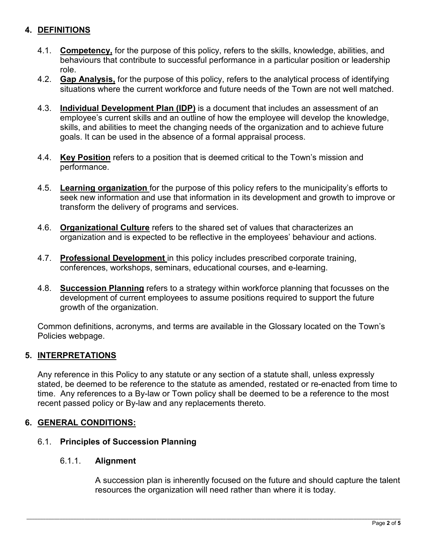# **4. DEFINITIONS**

- 4.1. **Competency,** for the purpose of this policy, refers to the skills, knowledge, abilities, and behaviours that contribute to successful performance in a particular position or leadership role.
- 4.2. **Gap Analysis,** for the purpose of this policy, refers to the analytical process of identifying situations where the current workforce and future needs of the Town are not well matched.
- 4.3. **Individual Development Plan (IDP)** is a document that includes an assessment of an employee's current skills and an outline of how the employee will develop the knowledge, skills, and abilities to meet the changing needs of the organization and to achieve future goals. It can be used in the absence of a formal appraisal process.
- 4.4. **Key Position** refers to a position that is deemed critical to the Town's mission and performance.
- 4.5. **Learning organization** for the purpose of this policy refers to the municipality's efforts to seek new information and use that information in its development and growth to improve or transform the delivery of programs and services.
- 4.6. **Organizational Culture** refers to the shared set of values that characterizes an organization and is expected to be reflective in the employees' behaviour and actions.
- 4.7. **Professional Development** in this policy includes prescribed corporate training, conferences, workshops, seminars, educational courses, and e-learning.
- 4.8. **Succession Planning** refers to a strategy within workforce planning that focusses on the development of current employees to assume positions required to support the future growth of the organization.

Common definitions, acronyms, and terms are available in the Glossary located on the Town's Policies webpage.

# **5. INTERPRETATIONS**

Any reference in this Policy to any statute or any section of a statute shall, unless expressly stated, be deemed to be reference to the statute as amended, restated or re-enacted from time to time. Any references to a By-law or Town policy shall be deemed to be a reference to the most recent passed policy or By-law and any replacements thereto.

# **6. GENERAL CONDITIONS:**

#### 6.1. **Principles of Succession Planning**

#### 6.1.1. **Alignment**

A succession plan is inherently focused on the future and should capture the talent resources the organization will need rather than where it is today.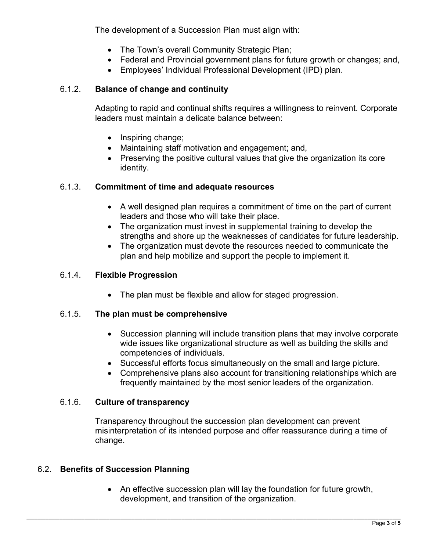The development of a Succession Plan must align with:

- The Town's overall Community Strategic Plan;
- Federal and Provincial government plans for future growth or changes; and,
- Employees' Individual Professional Development (IPD) plan.

# 6.1.2. **Balance of change and continuity**

Adapting to rapid and continual shifts requires a willingness to reinvent. Corporate leaders must maintain a delicate balance between:

- Inspiring change;
- Maintaining staff motivation and engagement; and,
- Preserving the positive cultural values that give the organization its core identity.

# 6.1.3. **Commitment of time and adequate resources**

- A well designed plan requires a commitment of time on the part of current leaders and those who will take their place.
- The organization must invest in supplemental training to develop the strengths and shore up the weaknesses of candidates for future leadership.
- The organization must devote the resources needed to communicate the plan and help mobilize and support the people to implement it.

# 6.1.4. **Flexible Progression**

• The plan must be flexible and allow for staged progression.

# 6.1.5. **The plan must be comprehensive**

- Succession planning will include transition plans that may involve corporate wide issues like organizational structure as well as building the skills and competencies of individuals.
- Successful efforts focus simultaneously on the small and large picture.
- Comprehensive plans also account for transitioning relationships which are frequently maintained by the most senior leaders of the organization.

# 6.1.6. **Culture of transparency**

Transparency throughout the succession plan development can prevent misinterpretation of its intended purpose and offer reassurance during a time of change.

# 6.2. **Benefits of Succession Planning**

• An effective succession plan will lay the foundation for future growth, development, and transition of the organization.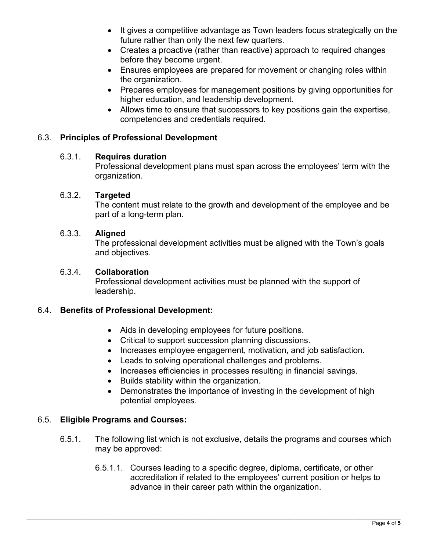- It gives a competitive advantage as Town leaders focus strategically on the future rather than only the next few quarters.
- Creates a proactive (rather than reactive) approach to required changes before they become urgent.
- Ensures employees are prepared for movement or changing roles within the organization.
- Prepares employees for management positions by giving opportunities for higher education, and leadership development.
- Allows time to ensure that successors to key positions gain the expertise, competencies and credentials required.

#### 6.3. **Principles of Professional Development**

#### 6.3.1. **Requires duration**

Professional development plans must span across the employees' term with the organization.

#### 6.3.2. **Targeted**

The content must relate to the growth and development of the employee and be part of a long-term plan.

#### 6.3.3. **Aligned**

The professional development activities must be aligned with the Town's goals and objectives.

#### 6.3.4. **Collaboration**

Professional development activities must be planned with the support of leadership.

#### 6.4. **Benefits of Professional Development:**

- Aids in developing employees for future positions.
- Critical to support succession planning discussions.
- Increases employee engagement, motivation, and job satisfaction.
- Leads to solving operational challenges and problems.
- Increases efficiencies in processes resulting in financial savings.
- Builds stability within the organization.
- Demonstrates the importance of investing in the development of high potential employees.

#### 6.5. **Eligible Programs and Courses:**

- 6.5.1. The following list which is not exclusive, details the programs and courses which may be approved:
	- 6.5.1.1. Courses leading to a specific degree, diploma, certificate, or other accreditation if related to the employees' current position or helps to advance in their career path within the organization.